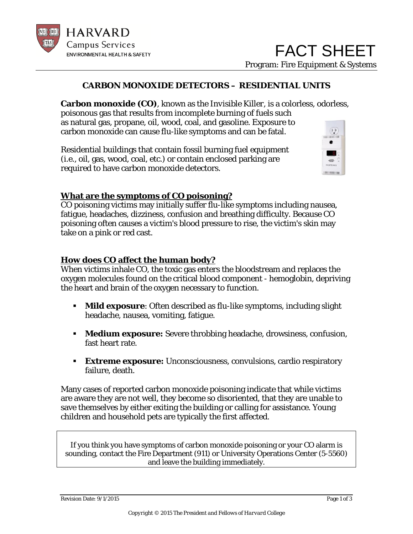

## **CARBON MONOXIDE DETECTORS – RESIDENTIAL UNITS**

**Carbon monoxide (CO)**, known as the *Invisible Killer,* is a colorless, odorless, poisonous gas that results from incomplete burning of fuels such as natural gas, propane, oil, wood, coal, and gasoline. Exposure to  $(11)$ carbon monoxide can cause flu-like symptoms and can be fatal.

Residential buildings that contain fossil burning fuel equipment (i.e., oil, gas, wood, coal, etc.) or contain enclosed parking are required to have carbon monoxide detectors.



# **What are the symptoms of CO poisoning?**

CO poisoning victims may initially suffer flu-like symptoms including nausea, fatigue, headaches, dizziness, confusion and breathing difficulty. Because CO poisoning often causes a victim's blood pressure to rise, the victim's skin may take on a pink or red cast.

### **How does CO affect the human body?**

When victims inhale CO, the toxic gas enters the bloodstream and replaces the oxygen molecules found on the critical blood component - hemoglobin, depriving the heart and brain of the oxygen necessary to function.

- **Mild exposure**: Often described as flu-like symptoms, including slight headache, nausea, vomiting, fatigue.
- **Medium exposure:** Severe throbbing headache, drowsiness, confusion, fast heart rate.
- **Extreme exposure:** Unconsciousness, convulsions, cardio respiratory failure, death.

Many cases of reported carbon monoxide poisoning indicate that while victims are aware they are not well, they become so disoriented, that they are unable to save themselves by either exiting the building or calling for assistance. Young children and household pets are typically the first affected.

If you think you have symptoms of carbon monoxide poisoning or your CO alarm is sounding, contact the Fire Department (911) or University Operations Center (5-5560) and leave the building immediately.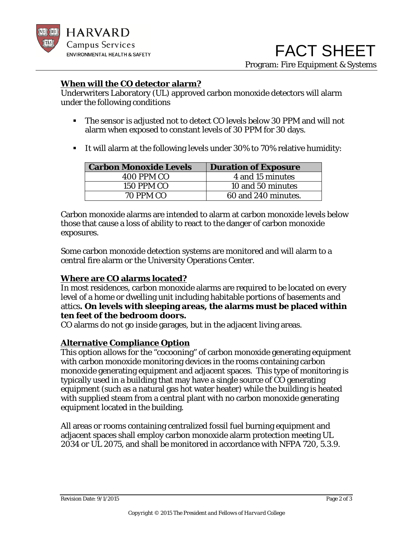

## **When will the CO detector alarm?**

Underwriters Laboratory (UL) approved carbon monoxide detectors will alarm under the following conditions

- The sensor is adjusted not to detect CO levels below 30 PPM and will not alarm when exposed to constant levels of 30 PPM for 30 days.
- It will alarm at the following levels under 30% to 70% relative humidity:

| <b>Carbon Monoxide Levels</b> | <b>Duration of Exposure</b> |
|-------------------------------|-----------------------------|
| 400 PPM CO                    | 4 and 15 minutes            |
| <b>150 PPM CO</b>             | 10 and 50 minutes           |
| 70 PPM CO                     | 60 and 240 minutes.         |

Carbon monoxide alarms are intended to alarm at carbon monoxide levels below those that cause a loss of ability to react to the danger of carbon monoxide exposures.

Some carbon monoxide detection systems are monitored and will alarm to a central fire alarm or the University Operations Center.

### **Where are CO alarms located?**

In most residences, carbon monoxide alarms are required to be located on every level of a home or dwelling unit including habitable portions of basements and attics**. On levels with sleeping areas, the alarms must be placed within ten feet of the bedroom doors.**

CO alarms do not go inside garages, but in the adjacent living areas.

# **Alternative Compliance Option**

This option allows for the "cocooning" of carbon monoxide generating equipment with carbon monoxide monitoring devices in the rooms containing carbon monoxide generating equipment and adjacent spaces. This type of monitoring is typically used in a building that may have a single source of CO generating equipment (such as a natural gas hot water heater) while the building is heated with supplied steam from a central plant with no carbon monoxide generating equipment located in the building.

All areas or rooms containing centralized fossil fuel burning equipment and adjacent spaces shall employ carbon monoxide alarm protection meeting UL 2034 or UL 2075, and shall be monitored in accordance with NFPA 720, 5.3.9.